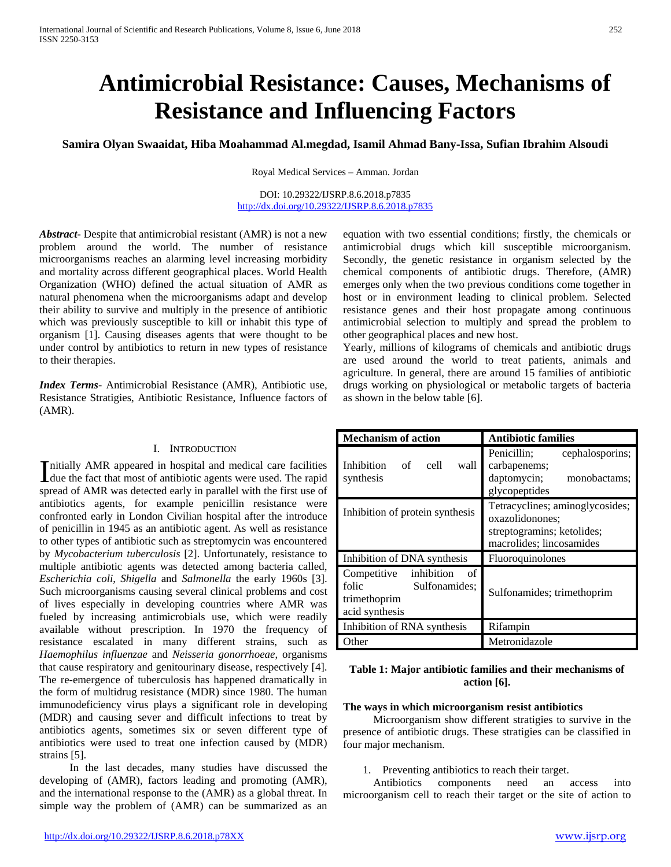# **Antimicrobial Resistance: Causes, Mechanisms of Resistance and Influencing Factors**

**Samira Olyan Swaaidat, Hiba Moahammad Al.megdad, Isamil Ahmad Bany-Issa, Sufian Ibrahim Alsoudi**

Royal Medical Services – Amman. Jordan

DOI: 10.29322/IJSRP.8.6.2018.p7835 <http://dx.doi.org/10.29322/IJSRP.8.6.2018.p7835>

*Abstract***-** Despite that antimicrobial resistant (AMR) is not a new problem around the world. The number of resistance microorganisms reaches an alarming level increasing morbidity and mortality across different geographical places. World Health Organization (WHO) defined the actual situation of AMR as natural phenomena when the microorganisms adapt and develop their ability to survive and multiply in the presence of antibiotic which was previously susceptible to kill or inhabit this type of organism [1]. Causing diseases agents that were thought to be under control by antibiotics to return in new types of resistance to their therapies.

*Index Terms*- Antimicrobial Resistance (AMR), Antibiotic use, Resistance Stratigies, Antibiotic Resistance, Influence factors of (AMR).

#### I. INTRODUCTION

nitially AMR appeared in hospital and medical care facilities Initially AMR appeared in hospital and medical care facilities<br>due the fact that most of antibiotic agents were used. The rapid<br>the fact that model to the detection of the contract of spread of AMR was detected early in parallel with the first use of antibiotics agents, for example penicillin resistance were confronted early in London Civilian hospital after the introduce of penicillin in 1945 as an antibiotic agent. As well as resistance to other types of antibiotic such as streptomycin was encountered by *Mycobacterium tuberculosis* [2]. Unfortunately, resistance to multiple antibiotic agents was detected among bacteria called, *Escherichia coli*, *Shigella* and *Salmonella* the early 1960s [3]. Such microorganisms causing several clinical problems and cost of lives especially in developing countries where AMR was fueled by increasing antimicrobials use, which were readily available without prescription. In 1970 the frequency of resistance escalated in many different strains, such as *Haemophilus influenzae* and *Neisseria gonorrhoeae*, organisms that cause respiratory and genitourinary disease, respectively [4]. The re-emergence of tuberculosis has happened dramatically in the form of multidrug resistance (MDR) since 1980. The human immunodeficiency virus plays a significant role in developing (MDR) and causing sever and difficult infections to treat by antibiotics agents, sometimes six or seven different type of antibiotics were used to treat one infection caused by (MDR) strains [5].

 In the last decades, many studies have discussed the developing of (AMR), factors leading and promoting (AMR), and the international response to the (AMR) as a global threat. In simple way the problem of (AMR) can be summarized as an

equation with two essential conditions; firstly, the chemicals or antimicrobial drugs which kill susceptible microorganism. Secondly, the genetic resistance in organism selected by the chemical components of antibiotic drugs. Therefore, (AMR) emerges only when the two previous conditions come together in host or in environment leading to clinical problem. Selected resistance genes and their host propagate among continuous antimicrobial selection to multiply and spread the problem to other geographical places and new host.

Yearly, millions of kilograms of chemicals and antibiotic drugs are used around the world to treat patients, animals and agriculture. In general, there are around 15 families of antibiotic drugs working on physiological or metabolic targets of bacteria as shown in the below table [6].

| <b>Mechanism of action</b>                                                                  | <b>Antibiotic families</b>                                                                                                       |  |
|---------------------------------------------------------------------------------------------|----------------------------------------------------------------------------------------------------------------------------------|--|
| of<br>Inhibition<br>cell<br>wall<br>synthesis                                               | Penicillin;<br>cephalosporins;<br>carbapenems;<br>daptomycin;<br>monobactams:<br>glycopeptides                                   |  |
| Inhibition of protein synthesis                                                             | Tetracyclines; aminoglycosides;<br>oxazolidonones;<br>streptogramins; ketolides;<br>macrolides; lincosamides<br>Fluoroquinolones |  |
| Inhibition of DNA synthesis                                                                 |                                                                                                                                  |  |
| inhibition<br>Competitive<br>of<br>folic<br>Sulfonamides:<br>trimethoprim<br>acid synthesis | Sulfonamides; trimethoprim                                                                                                       |  |
| Inhibition of RNA synthesis                                                                 | Rifampin                                                                                                                         |  |
| Other                                                                                       | Metronidazole                                                                                                                    |  |

## **Table 1: Major antibiotic families and their mechanisms of action [6].**

## **The ways in which microorganism resist antibiotics**

 Microorganism show different stratigies to survive in the presence of antibiotic drugs. These stratigies can be classified in four major mechanism.

1. Preventing antibiotics to reach their target.

 Antibiotics components need an access into microorganism cell to reach their target or the site of action to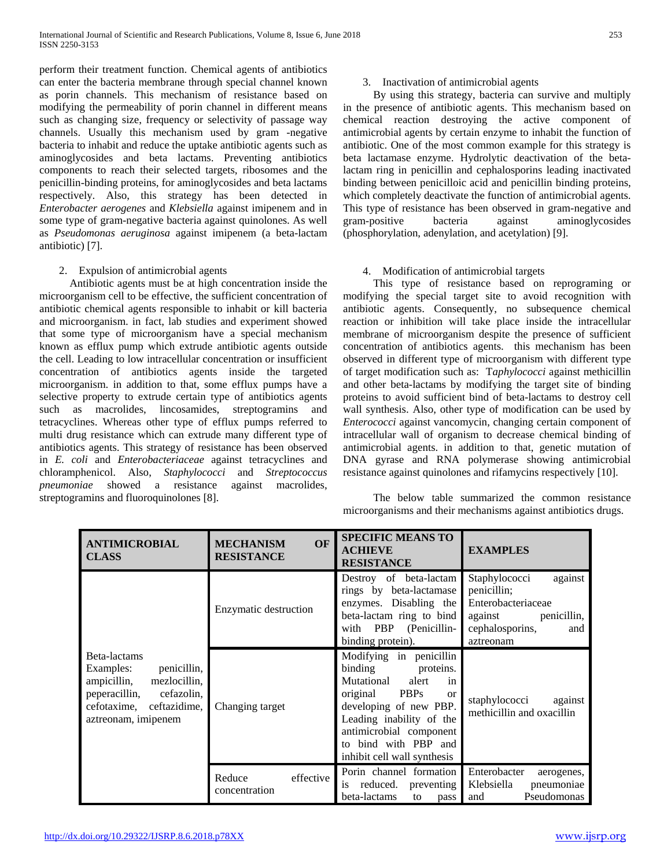perform their treatment function. Chemical agents of antibiotics can enter the bacteria membrane through special channel known as porin channels. This mechanism of resistance based on modifying the permeability of porin channel in different means such as changing size, frequency or selectivity of passage way channels. Usually this mechanism used by gram -negative bacteria to inhabit and reduce the uptake antibiotic agents such as aminoglycosides and beta lactams. Preventing antibiotics components to reach their selected targets, ribosomes and the penicillin-binding proteins, for aminoglycosides and beta lactams respectively. Also, this strategy has been detected in *Enterobacter aerogenes* and *Klebsiella* against imipenem and in some type of gram-negative bacteria against quinolones. As well as *Pseudomonas aeruginosa* against imipenem (a beta-lactam antibiotic) [7].

## 2. Expulsion of antimicrobial agents

 Antibiotic agents must be at high concentration inside the microorganism cell to be effective, the sufficient concentration of antibiotic chemical agents responsible to inhabit or kill bacteria and microorganism. in fact, lab studies and experiment showed that some type of microorganism have a special mechanism known as efflux pump which extrude antibiotic agents outside the cell. Leading to low intracellular concentration or insufficient concentration of antibiotics agents inside the targeted microorganism. in addition to that, some efflux pumps have a selective property to extrude certain type of antibiotics agents such as macrolides, lincosamides, streptogramins and tetracyclines. Whereas other type of efflux pumps referred to multi drug resistance which can extrude many different type of antibiotics agents. This strategy of resistance has been observed in *E. coli* and *Enterobacteriaceae* against tetracyclines and chloramphenicol. Also, *Staphylococci* and *Streptococcus pneumoniae* showed a resistance against macrolides, streptogramins and fluoroquinolones [8].

## 3. Inactivation of antimicrobial agents

 By using this strategy, bacteria can survive and multiply in the presence of antibiotic agents. This mechanism based on chemical reaction destroying the active component of antimicrobial agents by certain enzyme to inhabit the function of antibiotic. One of the most common example for this strategy is beta lactamase enzyme. Hydrolytic deactivation of the betalactam ring in penicillin and cephalosporins leading inactivated binding between penicilloic acid and penicillin binding proteins, which completely deactivate the function of antimicrobial agents. This type of resistance has been observed in gram-negative and gram-positive bacteria against aminoglycosides (phosphorylation, adenylation, and acetylation) [9].

# 4. Modification of antimicrobial targets

 This type of resistance based on reprograming or modifying the special target site to avoid recognition with antibiotic agents. Consequently, no subsequence chemical reaction or inhibition will take place inside the intracellular membrane of microorganism despite the presence of sufficient concentration of antibiotics agents. this mechanism has been observed in different type of microorganism with different type of target modification such as: T*aphylococci* against methicillin and other beta-lactams by modifying the target site of binding proteins to avoid sufficient bind of beta-lactams to destroy cell wall synthesis. Also, other type of modification can be used by *Enterococci* against vancomycin, changing certain component of intracellular wall of organism to decrease chemical binding of antimicrobial agents. in addition to that, genetic mutation of DNA gyrase and RNA polymerase showing antimicrobial resistance against quinolones and rifamycins respectively [10].

 The below table summarized the common resistance microorganisms and their mechanisms against antibiotics drugs.

| <b>ANTIMICROBIAL</b><br><b>CLASS</b>                                                                                                                         | OF<br><b>MECHANISM</b><br><b>RESISTANCE</b> | <b>SPECIFIC MEANS TO</b><br><b>ACHIEVE</b><br><b>RESISTANCE</b>                                                                                                                                                                                             | <b>EXAMPLES</b>                                                                                                                |
|--------------------------------------------------------------------------------------------------------------------------------------------------------------|---------------------------------------------|-------------------------------------------------------------------------------------------------------------------------------------------------------------------------------------------------------------------------------------------------------------|--------------------------------------------------------------------------------------------------------------------------------|
|                                                                                                                                                              | Enzymatic destruction                       | Destroy of beta-lactam<br>rings by beta-lactamase<br>enzymes. Disabling the<br>beta-lactam ring to bind<br>PBP (Penicillin-<br>with<br>binding protein).                                                                                                    | Staphylococci<br>against<br>penicillin;<br>Enterobacteriaceae<br>penicillin,<br>against<br>cephalosporins,<br>and<br>aztreonam |
| Beta-lactams<br>penicillin,<br>Examples:<br>ampicillin,<br>mezlocillin,<br>peperacillin,<br>cefazolin,<br>cefotaxime,<br>ceftazidime,<br>aztreonam, imipenem | Changing target                             | Modifying in penicillin<br>binding<br>proteins.<br>Mutational<br>alert<br>in<br>original<br><b>PBPs</b><br>$\alpha$<br>developing of new PBP.<br>Leading inability of the<br>antimicrobial component<br>to bind with PBP and<br>inhibit cell wall synthesis | staphylococci<br>against<br>methicillin and oxacillin                                                                          |
|                                                                                                                                                              | Reduce<br>effective<br>concentration        | Porin channel formation<br>reduced.<br>preventing<br><sup>1</sup> S<br>beta-lactams<br>to<br>pass                                                                                                                                                           | Enterobacter<br>aerogenes,<br>Klebsiella<br>pneumoniae<br>Pseudomonas<br>and                                                   |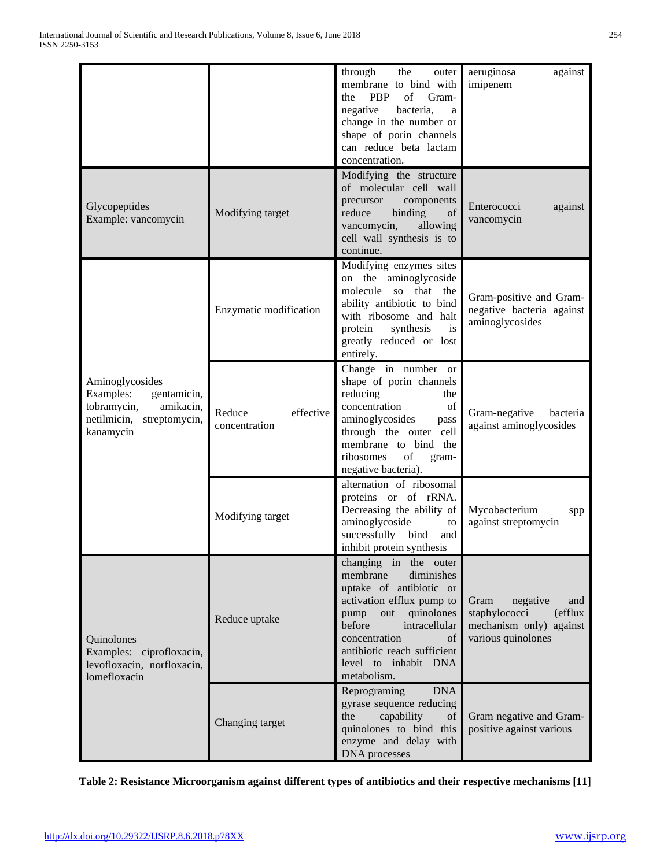|                                                                                                                      |                                      | through<br>the<br>outer<br>membrane to bind with                                                                                                                                                                                                          | aeruginosa<br>against<br>imipenem                                                                     |
|----------------------------------------------------------------------------------------------------------------------|--------------------------------------|-----------------------------------------------------------------------------------------------------------------------------------------------------------------------------------------------------------------------------------------------------------|-------------------------------------------------------------------------------------------------------|
|                                                                                                                      |                                      | $% \left( \left( \mathcal{A},\mathcal{A}\right) \right) =\left( \mathcal{A},\mathcal{A}\right)$ of<br>PBP<br>Gram-<br>the<br>negative<br>bacteria,<br>a<br>change in the number or<br>shape of porin channels<br>can reduce beta lactam<br>concentration. |                                                                                                       |
| Glycopeptides<br>Example: vancomycin                                                                                 | Modifying target                     | Modifying the structure<br>of molecular cell wall<br>components<br>precursor<br>reduce<br>binding<br>of<br>vancomycin,<br>allowing<br>cell wall synthesis is to<br>continue.                                                                              | Enterococci<br>against<br>vancomycin                                                                  |
| Aminoglycosides<br>Examples:<br>gentamicin,<br>tobramycin,<br>amikacin,<br>netilmicin,<br>streptomycin,<br>kanamycin | Enzymatic modification               | Modifying enzymes sites<br>on the aminoglycoside<br>molecule so that the<br>ability antibiotic to bind<br>with ribosome and halt<br>protein<br>synthesis<br>is<br>greatly reduced or lost<br>entirely.                                                    | Gram-positive and Gram-<br>negative bacteria against<br>aminoglycosides                               |
|                                                                                                                      | effective<br>Reduce<br>concentration | Change in number or<br>shape of porin channels<br>reducing<br>the<br>concentration<br>of<br>aminoglycosides<br>pass<br>through the outer cell<br>membrane to bind the<br>ribosomes<br>of<br>gram-<br>negative bacteria).                                  | Gram-negative<br>bacteria<br>against aminoglycosides                                                  |
|                                                                                                                      | Modifying target                     | alternation of ribosomal<br>proteins or of rRNA.<br>Decreasing the ability of<br>aminoglycoside<br>to<br>successfully bind<br>and<br>inhibit protein synthesis                                                                                            | Mycobacterium<br>spp<br>against streptomycin                                                          |
| Quinolones<br>Examples: ciprofloxacin,<br>levofloxacin, norfloxacin,<br>lomefloxacin                                 | Reduce uptake                        | changing in the outer<br>membrane<br>diminishes<br>uptake of antibiotic or<br>activation efflux pump to<br>out quinolones<br>pump<br>before<br>intracellular<br>concentration<br>of<br>antibiotic reach sufficient<br>level to inhabit DNA<br>metabolism. | Gram<br>negative<br>and<br>staphylococci<br>(efflux)<br>mechanism only) against<br>various quinolones |
|                                                                                                                      | Changing target                      | Reprograming<br><b>DNA</b><br>gyrase sequence reducing<br>the<br>capability<br>of<br>quinolones to bind this<br>enzyme and delay with<br><b>DNA</b> processes                                                                                             | Gram negative and Gram-<br>positive against various                                                   |

**Table 2: Resistance Microorganism against different types of antibiotics and their respective mechanisms [11]**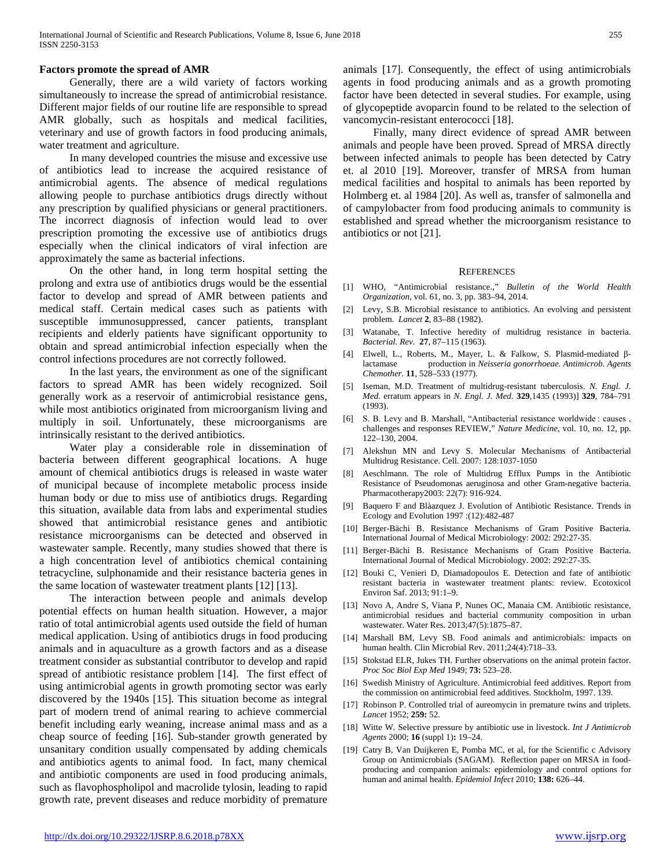#### **Factors promote the spread of AMR**

 Generally, there are a wild variety of factors working simultaneously to increase the spread of antimicrobial resistance. Different major fields of our routine life are responsible to spread AMR globally, such as hospitals and medical facilities, veterinary and use of growth factors in food producing animals, water treatment and agriculture.

 In many developed countries the misuse and excessive use of antibiotics lead to increase the acquired resistance of antimicrobial agents. The absence of medical regulations allowing people to purchase antibiotics drugs directly without any prescription by qualified physicians or general practitioners. The incorrect diagnosis of infection would lead to over prescription promoting the excessive use of antibiotics drugs especially when the clinical indicators of viral infection are approximately the same as bacterial infections.

 On the other hand, in long term hospital setting the prolong and extra use of antibiotics drugs would be the essential factor to develop and spread of AMR between patients and medical staff. Certain medical cases such as patients with susceptible immunosuppressed, cancer patients, transplant recipients and elderly patients have significant opportunity to obtain and spread antimicrobial infection especially when the control infections procedures are not correctly followed.

 In the last years, the environment as one of the significant factors to spread AMR has been widely recognized. Soil generally work as a reservoir of antimicrobial resistance gens, while most antibiotics originated from microorganism living and multiply in soil. Unfortunately, these microorganisms are intrinsically resistant to the derived antibiotics.

 Water play a considerable role in dissemination of bacteria between different geographical locations. A huge amount of chemical antibiotics drugs is released in waste water of municipal because of incomplete metabolic process inside human body or due to miss use of antibiotics drugs. Regarding this situation, available data from labs and experimental studies showed that antimicrobial resistance genes and antibiotic resistance microorganisms can be detected and observed in wastewater sample. Recently, many studies showed that there is a high concentration level of antibiotics chemical containing tetracycline, sulphonamide and their resistance bacteria genes in the same location of wastewater treatment plants [12] [13].

 The interaction between people and animals develop potential effects on human health situation. However, a major ratio of total antimicrobial agents used outside the field of human medical application. Using of antibiotics drugs in food producing animals and in aquaculture as a growth factors and as a disease treatment consider as substantial contributor to develop and rapid spread of antibiotic resistance problem [14]. The first effect of using antimicrobial agents in growth promoting sector was early discovered by the 1940s [15]. This situation become as integral part of modern trend of animal rearing to achieve commercial benefit including early weaning, increase animal mass and as a cheap source of feeding [16]. Sub-stander growth generated by unsanitary condition usually compensated by adding chemicals and antibiotics agents to animal food. In fact, many chemical and antibiotic components are used in food producing animals, such as flavophospholipol and macrolide tylosin, leading to rapid growth rate, prevent diseases and reduce morbidity of premature

animals [17]. Consequently, the effect of using antimicrobials agents in food producing animals and as a growth promoting factor have been detected in several studies. For example, using of glycopeptide avoparcin found to be related to the selection of vancomycin-resistant enterococci [18].

 Finally, many direct evidence of spread AMR between animals and people have been proved. Spread of MRSA directly between infected animals to people has been detected by Catry et. al 2010 [19]. Moreover, transfer of MRSA from human medical facilities and hospital to animals has been reported by Holmberg et. al 1984 [20]. As well as, transfer of salmonella and of campylobacter from food producing animals to community is established and spread whether the microorganism resistance to antibiotics or not [21].

#### **REFERENCES**

- [1] WHO, "Antimicrobial resistance.," *Bulletin of the World Health Organization*, vol. 61, no. 3, pp. 383–94, 2014.
- [2] Levy, S.B. Microbial resistance to antibiotics. An evolving and persistent problem. *Lancet* **2**, 83–88 (1982).
- [3] Watanabe, T. Infective heredity of multidrug resistance in bacteria. *Bacterial. Rev.* **27**, 87–115 (1963).
- [4] Elwell, L., Roberts, M., Mayer, L. & Falkow, S. Plasmid-mediated βlactamase production in *Neisseria gonorrhoeae. Antimicrob. Agents Chemother.* **11**, 528–533 (1977).
- [5] Iseman, M.D. Treatment of multidrug-resistant tuberculosis. *N. Engl. J. Med.* erratum appears in *N. Engl. J. Med.* **329**,1435 (1993)] **329**, 784–791 (1993).
- [6] S. B. Levy and B. Marshall, "Antibacterial resistance worldwide : causes, challenges and responses REVIEW," *Nature Medicine*, vol. 10, no. 12, pp. 122–130, 2004.
- [7] Alekshun MN and Levy S. Molecular Mechanisms of Antibacterial Multidrug Resistance. Cell. 2007: 128:1037-1050
- [8] Aeschlmann. The role of Multidrug Efflux Pumps in the Antibiotic Resistance of Pseudomonas aeruginosa and other Gram-negative bacteria. Pharmacotherapy2003: 22(7): 916-924.
- [9] Baquero F and Blàazquez J. Evolution of Antibiotic Resistance. Trends in Ecology and Evolution 1997 :(12):482-487
- [10] Berger-Bächi B. Resistance Mechanisms of Gram Positive Bacteria. International Journal of Medical Microbiology: 2002: 292:27-35.
- [11] Berger-Bächi B. Resistance Mechanisms of Gram Positive Bacteria. International Journal of Medical Microbiology. 2002: 292:27-35.
- [12] Bouki C, Venieri D, Diamadopoulos E. Detection and fate of antibiotic resistant bacteria in wastewater treatment plants: review. Ecotoxicol Environ Saf. 2013; 91:1–9.
- [13] Novo A, Andre S, Viana P, Nunes OC, Manaia CM. Antibiotic resistance, antimicrobial residues and bacterial community composition in urban wastewater. Water Res. 2013;47(5):1875–87.
- [14] Marshall BM, Levy SB. Food animals and antimicrobials: impacts on human health. Clin Microbial Rev. 2011;24(4):718–33.
- [15] Stokstad ELR, Jukes TH. Further observations on the animal protein factor. *Proc Soc Biol Exp Med* 1949; **73:** 523–28.
- [16] Swedish Ministry of Agriculture. Antimicrobial feed additives. Report from the commission on antimicrobial feed additives. Stockholm, 1997. 139.
- [17] Robinson P. Controlled trial of aureomycin in premature twins and triplets. *Lancet* 1952; **259:** 52.
- [18] Witte W. Selective pressure by antibiotic use in livestock. *Int J Antimicrob Agents* 2000; **16** (suppl 1)**:** 19–24.
- [19] Catry B, Van Duijkeren E, Pomba MC, et al, for the Scientific c Advisory Group on Antimicrobials (SAGAM). Reflection paper on MRSA in foodproducing and companion animals: epidemiology and control options for human and animal health. *Epidemiol Infect* 2010; **138:** 626–44.